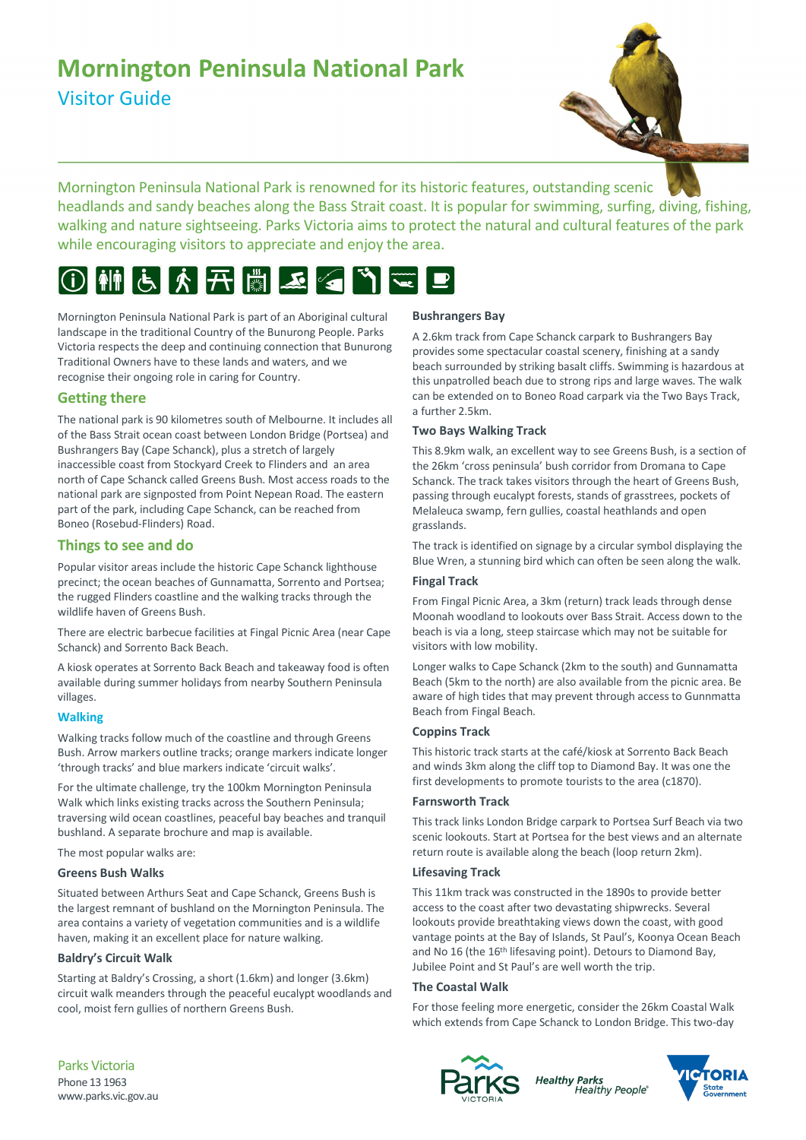# **Mornington Peninsula National Park** Visitor Guide



Mornington Peninsula National Park is renowned for its historic features, outstanding scenic headlands and sandy beaches along the Bass Strait coast. It is popular for swimming, surfing, diving, fishing, walking and nature sightseeing. Parks Victoria aims to protect the natural and cultural features of the park while encouraging visitors to appreciate and enjoy the area.

# 0 補占大開工日

Mornington Peninsula National Park is part of an Aboriginal cultural landscape in the traditional Country of the Bunurong People. Parks Victoria respects the deep and continuing connection that Bunurong Traditional Owners have to these lands and waters, and we recognise their ongoing role in caring for Country.

# **Getting there**

The national park is 90 kilometres south of Melbourne. It includes all of the Bass Strait ocean coast between London Bridge (Portsea) and Bushrangers Bay (Cape Schanck), plus a stretch of largely inaccessible coast from Stockyard Creek to Flinders and an area north of Cape Schanck called Greens Bush. Most access roads to the national park are signposted from Point Nepean Road. The eastern part of the park, including Cape Schanck, can be reached from Boneo (Rosebud-Flinders) Road.

# **Things to see and do**

Popular visitor areas include the historic Cape Schanck lighthouse precinct; the ocean beaches of Gunnamatta, Sorrento and Portsea; the rugged Flinders coastline and the walking tracks through the wildlife haven of Greens Bush.

There are electric barbecue facilities at Fingal Picnic Area (near Cape Schanck) and Sorrento Back Beach.

A kiosk operates at Sorrento Back Beach and takeaway food is often available during summer holidays from nearby Southern Peninsula villages.

#### **Walking**

Walking tracks follow much of the coastline and through Greens Bush. Arrow markers outline tracks; orange markers indicate longer 'through tracks' and blue markers indicate 'circuit walks'.

For the ultimate challenge, try the 100km Mornington Peninsula Walk which links existing tracks across the Southern Peninsula; traversing wild ocean coastlines, peaceful bay beaches and tranquil bushland. A separate brochure and map is available.

The most popular walks are:

#### **Greens Bush Walks**

Situated between Arthurs Seat and Cape Schanck, Greens Bush is the largest remnant of bushland on the Mornington Peninsula. The area contains a variety of vegetation communities and is a wildlife haven, making it an excellent place for nature walking.

#### **Baldry's Circuit Walk**

Starting at Baldry's Crossing, a short (1.6km) and longer (3.6km) circuit walk meanders through the peaceful eucalypt woodlands and cool, moist fern gullies of northern Greens Bush.

#### **Bushrangers Bay**

A 2.6km track from Cape Schanck carpark to Bushrangers Bay provides some spectacular coastal scenery, finishing at a sandy beach surrounded by striking basalt cliffs. Swimming is hazardous at this unpatrolled beach due to strong rips and large waves. The walk can be extended on to Boneo Road carpark via the Two Bays Track, a further 2.5km.

#### **Two Bays Walking Track**

This 8.9km walk, an excellent way to see Greens Bush, is a section of the 26km 'cross peninsula' bush corridor from Dromana to Cape Schanck. The track takes visitors through the heart of Greens Bush, passing through eucalypt forests, stands of grasstrees, pockets of Melaleuca swamp, fern gullies, coastal heathlands and open grasslands.

The track is identified on signage by a circular symbol displaying the Blue Wren, a stunning bird which can often be seen along the walk.

# **Fingal Track**

From Fingal Picnic Area, a 3km (return) track leads through dense Moonah woodland to lookouts over Bass Strait. Access down to the beach is via a long, steep staircase which may not be suitable for visitors with low mobility.

Longer walks to Cape Schanck (2km to the south) and Gunnamatta Beach (5km to the north) are also available from the picnic area. Be aware of high tides that may prevent through access to Gunnmatta Beach from Fingal Beach.

#### **Coppins Track**

This historic track starts at the café/kiosk at Sorrento Back Beach and winds 3km along the cliff top to Diamond Bay. It was one the first developments to promote tourists to the area (c1870).

#### **Farnsworth Track**

This track links London Bridge carpark to Portsea Surf Beach via two scenic lookouts. Start at Portsea for the best views and an alternate return route is available along the beach (loop return 2km).

#### **Lifesaving Track**

This 11km track was constructed in the 1890s to provide better access to the coast after two devastating shipwrecks. Several lookouts provide breathtaking views down the coast, with good vantage points at the Bay of Islands, St Paul's, Koonya Ocean Beach and No 16 (the 16<sup>th</sup> lifesaving point). Detours to Diamond Bay, Jubilee Point and St Paul's are well worth the trip.

#### **The Coastal Walk**

For those feeling more energetic, consider the 26km Coastal Walk which extends from Cape Schanck to London Bridge. This two-day



**Healthy Parks Healthy People** 



Parks Victoria Phone 13 1963 www.parks.vic.gov.au